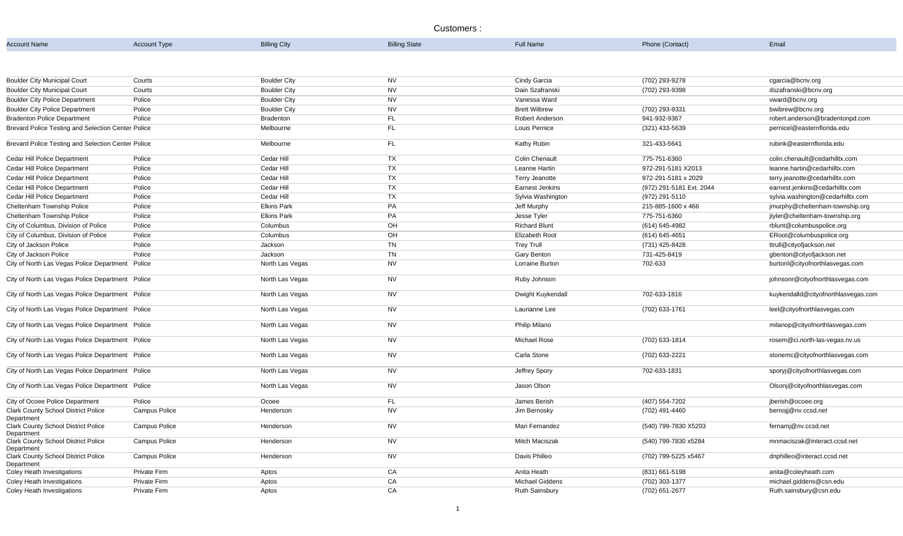## Customers :

| <b>Account Name</b>                                      | <b>Account Type</b>  | <b>Billing City</b> | <b>Billing State</b> | <b>Full Name</b>       | Phone (Contact)          | Email                               |
|----------------------------------------------------------|----------------------|---------------------|----------------------|------------------------|--------------------------|-------------------------------------|
|                                                          |                      |                     |                      |                        |                          |                                     |
|                                                          |                      |                     |                      |                        |                          |                                     |
| <b>Boulder City Municipal Court</b>                      | Courts               | <b>Boulder City</b> | <b>NV</b>            | Cindy Garcia           | (702) 293-9278           | cgarcia@bcnv.org                    |
| <b>Boulder City Municipal Court</b>                      | Courts               | <b>Boulder City</b> | <b>NV</b>            | Dain Szafranski        | (702) 293-9398           | dszafranski@bcnv.org                |
| <b>Boulder City Police Department</b>                    | Police               | <b>Boulder City</b> | <b>NV</b>            | Vanessa Ward           |                          | vward@bcnv.org                      |
| <b>Boulder City Police Department</b>                    | Police               | <b>Boulder City</b> | <b>NV</b>            | <b>Brett Wilbrew</b>   | (702) 293-9331           | bwibrew@bcnv.org                    |
| <b>Bradenton Police Department</b>                       | Police               | Bradenton           | FL.                  | Robert Anderson        | 941-932-9367             | robert.anderson@bradentonpd.com     |
| Brevard Police Testing and Selection Center Police       |                      | Melbourne           | FL                   | Louis Pernice          | $(321)$ 433-5639         | pernicel@easternflorida.edu         |
| Brevard Police Testing and Selection Center Police       |                      | Melbourne           | <b>FL</b>            | <b>Kathy Rubin</b>     | 321-433-5641             | rubink@easternflorida.edu           |
| Cedar Hill Police Department                             | Police               | Cedar Hill          | <b>TX</b>            | <b>Colin Chenault</b>  | 775-751-6360             | colin.chenault@cedarhilltx.com      |
| <b>Cedar Hill Police Department</b>                      | Police               | Cedar Hill          | TX                   | Leanne Hartin          | 972-291-5181 X2013       | leanne.hartin@cedarhilltx.com       |
| <b>Cedar Hill Police Department</b>                      | Police               | Cedar Hill          | <b>TX</b>            | <b>Terry Jeanotte</b>  | 972-291-5181 x 2029      | terry.jeanotte@cedarhilltx.com      |
| Cedar Hill Police Department                             | Police               | Cedar Hill          | TX                   | <b>Earnest Jenkins</b> | (972) 291-5181 Ext. 2044 | earnest.jenkins@cedarhilltx.com     |
| Cedar Hill Police Department                             | Police               | Cedar Hill          | <b>TX</b>            | Sylvia Washington      | (972) 291-5110           | sylvia.washington@cedarhilltx.com   |
| Cheltenham Township Police                               | Police               | <b>Elkins Park</b>  | PA                   | Jeff Murphy            | 215-885-1600 x 466       | jmurphy@cheltenham-township.org     |
| <b>Cheltenham Township Police</b>                        | Police               | <b>Elkins Park</b>  | PA                   | Jesse Tyler            | 775-751-6360             | jtyler@cheltenham-township.org      |
| City of Columbus, Division of Police                     | Police               | Columbus            | OH                   | <b>Richard Blunt</b>   | (614) 645-4982           | rblunt@columbuspolice.org           |
| City of Columbus, Division of Police                     | Police               | Columbus            | OH                   | <b>Elizabeth Root</b>  | (614) 645-4651           | ERoot@columbuspolice.org            |
| City of Jackson Police                                   | Police               | Jackson             | <b>TN</b>            | <b>Trey Trull</b>      | (731) 425-8428           | ttrull@cityofjackson.net            |
| City of Jackson Police                                   | Police               | Jackson             | <b>TN</b>            | <b>Gary Benton</b>     | 731-425-8419             | gbenton@cityofjackson.net           |
| City of North Las Vegas Police Department                | Police               | North Las Vegas     | <b>NV</b>            | Lorraine Burton        | 702-633                  | burtonl@cityofnorthlasvegas.com     |
| City of North Las Vegas Police Department Police         |                      | North Las Vegas     | <b>NV</b>            | Ruby Johnson           |                          | johnsonr@cityofnorthlasvegas.com    |
| City of North Las Vegas Police Department Police         |                      | North Las Vegas     | <b>NV</b>            | Dwight Kuykendall      | 702-633-1816             | kuykendalld@cityofnorthlasvegas.com |
| City of North Las Vegas Police Department Police         |                      | North Las Vegas     | <b>NV</b>            | Laurianne Lee          | (702) 633-1761           | leel@cityofnorthlasvegas.com        |
| City of North Las Vegas Police Department Police         |                      | North Las Vegas     | <b>NV</b>            | Philip Milano          |                          | milanop@cityofnorthlasvegas.com     |
| City of North Las Vegas Police Department Police         |                      | North Las Vegas     | <b>NV</b>            | <b>Michael Rose</b>    | (702) 633-1814           | rosem@ci.north-las-vegas.nv.us      |
| City of North Las Vegas Police Department Police         |                      | North Las Vegas     | <b>NV</b>            | Carla Stone            | (702) 633-2221           | stonemc@cityofnorthlasvegas.com     |
| City of North Las Vegas Police Department Police         |                      | North Las Vegas     | <b>NV</b>            | Jeffrey Spory          | 702-633-1831             | sporyj@cityofnorthlasvegas.com      |
| City of North Las Vegas Police Department Police         |                      | North Las Vegas     | <b>NV</b>            | Jason Olson            |                          | Olsonj@cityofnorthlasvegas.com      |
| City of Ocoee Police Department                          | Police               | Ocoee               | FL                   | James Berish           | (407) 554-7202           | jberish@ocoee.org                   |
| <b>Clark County School District Police</b><br>Department | <b>Campus Police</b> | Henderson           | <b>NV</b>            | Jim Bernosky           | (702) 491-4460           | bernojj@nv.ccsd.net                 |
| <b>Clark County School District Police</b><br>Department | <b>Campus Police</b> | Henderson           | <b>NV</b>            | Mari Fernandez         | (540) 799-7830 X5203     | fernamj@nv.ccsd.net                 |
| <b>Clark County School District Police</b><br>Department | <b>Campus Police</b> | Henderson           | <b>NV</b>            | <b>Mitch Maciszak</b>  | (540) 799-7830 x5284     | mnmaciszak@interact.ccsd.net        |
| <b>Clark County School District Police</b><br>Department | <b>Campus Police</b> | Henderson           | <b>NV</b>            | Davis Philleo          | (702) 799-5225 x5467     | dnphilleo@interact.ccsd.net         |
| <b>Coley Heath Investigations</b>                        | Private Firm         | Aptos               | CA                   | Anita Heath            | (831) 661-5198           | anita@coleyheath.com                |
| <b>Coley Heath Investigations</b>                        | Private Firm         | Aptos               | CA                   | <b>Michael Giddens</b> | (702) 303-1377           | michael.giddens@csn.edu             |
| <b>Coley Heath Investigations</b>                        | Private Firm         | Aptos               | CA                   | <b>Ruth Sainsbury</b>  | (702) 651-2677           | Ruth.sainsbury@csn.edu              |

| Phone (Contact) |  |
|-----------------|--|
|-----------------|--|

| (702) 293-9278           | cgarcia@bcnv.org                    |
|--------------------------|-------------------------------------|
| (702) 293-9398           | dszafranski@bcnv.org                |
|                          | vward@bcnv.org                      |
| (702) 293-9331           | bwibrew@bcnv.org                    |
| 941-932-9367             | robert.anderson@bradentonpd.com     |
| (321) 433-5639           | pernicel@easternflorida.edu         |
| 321-433-5641             | rubink@easternflorida.edu           |
| 775-751-6360             | colin.chenault@cedarhilltx.com      |
| 972-291-5181 X2013       | leanne.hartin@cedarhilltx.com       |
| 972-291-5181 x 2029      | terry.jeanotte@cedarhilltx.com      |
| (972) 291-5181 Ext. 2044 | earnest.jenkins@cedarhilltx.com     |
| (972) 291-5110           | sylvia.washington@cedarhilltx.com   |
| 215-885-1600 x 466       | jmurphy@cheltenham-township.org     |
| 775-751-6360             | jtyler@cheltenham-township.org      |
| (614) 645-4982           | rblunt@columbuspolice.org           |
| (614) 645-4651           | ERoot@columbuspolice.org            |
| (731) 425-8428           | ttrull@cityofjackson.net            |
| 731-425-8419             | gbenton@cityofjackson.net           |
| 702-633                  | burtonl@cityofnorthlasvegas.com     |
|                          | johnsonr@cityofnorthlasvegas.com    |
| 702-633-1816             | kuykendalld@cityofnorthlasvegas.com |
| (702) 633-1761           | leel@cityofnorthlasvegas.com        |
|                          | milanop@cityofnorthlasvegas.com     |
| (702) 633-1814           | rosem@ci.north-las-vegas.nv.us      |
| (702) 633-2221           | stonemc@cityofnorthlasvegas.com     |
| 702-633-1831             | sporyj@cityofnorthlasvegas.com      |
|                          | Olsonj@cityofnorthlasvegas.com      |
| $(407) 554 - 7202$       | jberish@ocoee.org                   |
| (702) 491-4460           | bernojj@nv.ccsd.net                 |
| (540) 799-7830 X5203     | fernamj@nv.ccsd.net                 |
| (540) 799-7830 x5284     | mnmaciszak@interact.ccsd.net        |
| (702) 799-5225 x5467     | dnphilleo@interact.ccsd.net         |
| (831) 661-5198           | anita@coleyheath.com                |
| $(702)$ 303-1377         | michael.giddens@csn.edu             |
| (702) 651-2677           | Ruth.sainsbury@csn.edu              |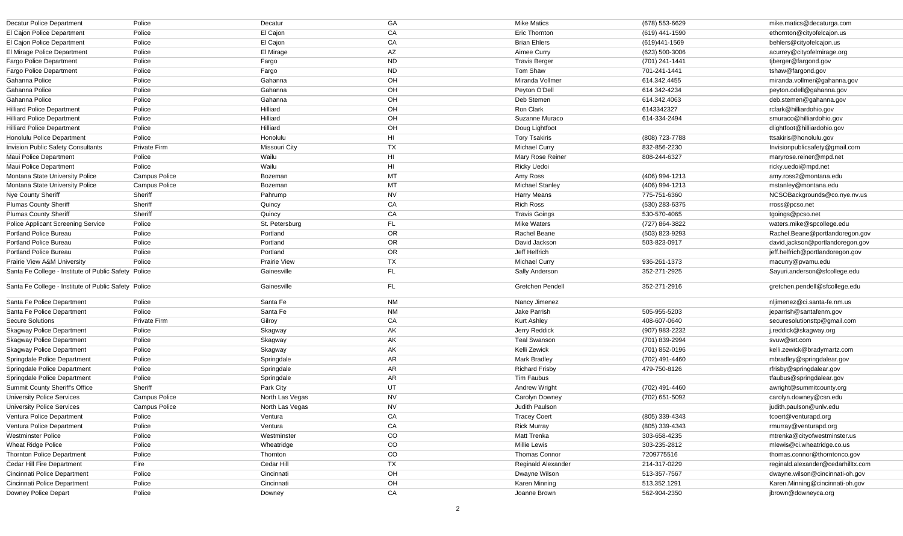| <b>Decatur Police Department</b>                     | Police               | Decatur             | GA                     | <b>Mike Matics</b>        | (678) 553-6629 | mike.matics@decaturga.com          |
|------------------------------------------------------|----------------------|---------------------|------------------------|---------------------------|----------------|------------------------------------|
| El Cajon Police Department                           | Police               | El Cajon            | CA                     | <b>Eric Thornton</b>      | (619) 441-1590 | ethornton@cityofelcajon.us         |
| El Cajon Police Department                           | Police               | El Cajon            | CA                     | <b>Brian Ehlers</b>       | (619)441-1569  | behlers@cityofelcajon.us           |
| El Mirage Police Department                          | Police               | El Mirage           | AZ                     | Aimee Curry               | (623) 500-3006 | acurrey@cityofelmirage.org         |
| <b>Fargo Police Department</b>                       | Police               | Fargo               | <b>ND</b>              | <b>Travis Berger</b>      | (701) 241-1441 | tjberger@fargond.gov               |
| <b>Fargo Police Department</b>                       | Police               | Fargo               | ${\sf ND}$             | Tom Shaw                  | 701-241-1441   | tshaw@fargond.gov                  |
| Gahanna Police                                       | Police               | Gahanna             | OH                     | Miranda Vollmer           | 614.342.4455   | miranda.vollmer@gahanna.gov        |
| Gahanna Police                                       | Police               | Gahanna             | OH                     | Peyton O'Dell             | 614 342-4234   | peyton.odell@gahanna.gov           |
| Gahanna Police                                       | Police               | Gahanna             | OH                     | Deb Stemen                | 614.342.4063   | deb.stemen@gahanna.gov             |
| <b>Hilliard Police Department</b>                    | Police               | Hilliard            | OH                     | Ron Clark                 | 6143342327     | rclark@hilliardohio.gov            |
| <b>Hilliard Police Department</b>                    | Police               | Hilliard            | OH                     | Suzanne Muraco            | 614-334-2494   | smuraco@hilliardohio.gov           |
| <b>Hilliard Police Department</b>                    | Police               | Hilliard            | OH                     | Doug Lightfoot            |                | dlightfoot@hilliardohio.gov        |
| Honolulu Police Department                           | Police               | Honolulu            | HI                     | <b>Tory Tsakiris</b>      | (808) 723-7788 | ttsakiris@honolulu.gov             |
| <b>Invision Public Safety Consultants</b>            | Private Firm         | Missouri City       | <b>TX</b>              | <b>Michael Curry</b>      | 832-856-2230   | Invisionpublicsafety@gmail.com     |
| Maui Police Department                               | Police               | Wailu               | $\mathsf{H}\mathsf{I}$ | Mary Rose Reiner          | 808-244-6327   | maryrose.reiner@mpd.net            |
| Maui Police Department                               | Police               | Wailu               | HI                     | Ricky Uedoi               |                | ricky.uedoi@mpd.net                |
| Montana State University Police                      | <b>Campus Police</b> | Bozeman             | MT                     | Amy Ross                  | (406) 994-1213 | amy.ross2@montana.edu              |
| Montana State University Police                      | <b>Campus Police</b> | Bozeman             | <b>MT</b>              | <b>Michael Stanley</b>    | (406) 994-1213 | mstanley@montana.edu               |
| Nye County Sheriff                                   | Sheriff              | Pahrump             | <b>NV</b>              | <b>Harry Means</b>        | 775-751-6360   | NCSOBackgrounds@co.nye.nv.us       |
| <b>Plumas County Sheriff</b>                         | Sheriff              | Quincy              | CA                     | <b>Rich Ross</b>          | (530) 283-6375 | rross@pcso.net                     |
| <b>Plumas County Sheriff</b>                         | Sheriff              | Quincy              | CA                     | <b>Travis Goings</b>      | 530-570-4065   | tgoings@pcso.net                   |
| <b>Police Applicant Screening Service</b>            | Police               | St. Petersburg      | FL                     | <b>Mike Waters</b>        | (727) 864-3822 | waters.mike@spcollege.edu          |
| <b>Portland Police Bureau</b>                        | Police               | Portland            | OR                     | Rachel Beane              | (503) 823-9293 | Rachel.Beane@portlandoregon.gov    |
| <b>Portland Police Bureau</b>                        | Police               | Portland            | OR                     | David Jackson             | 503-823-0917   | david.jackson@portlandoregon.gov   |
| <b>Portland Police Bureau</b>                        | Police               | Portland            | OR                     | Jeff Helfrich             |                | jeff.helfrich@portlandoregon.gov   |
| Prairie View A&M University                          | Police               | <b>Prairie View</b> | <b>TX</b>              | <b>Michael Curry</b>      | 936-261-1373   | macurry@pvamu.edu                  |
| Santa Fe College - Institute of Public Safety Police |                      | Gainesville         | FL                     | Sally Anderson            | 352-271-2925   | Sayuri.anderson@sfcollege.edu      |
| Santa Fe College - Institute of Public Safety Police |                      | Gainesville         | FL                     | <b>Gretchen Pendell</b>   | 352-271-2916   | gretchen.pendell@sfcollege.edu     |
| Santa Fe Police Department                           | Police               | Santa Fe            | NM                     | Nancy Jimenez             |                | nljimenez@ci.santa-fe.nm.us        |
| Santa Fe Police Department                           | Police               | Santa Fe            | NM                     | Jake Parrish              | 505-955-5203   | jeparrish@santafenm.gov            |
| <b>Secure Solutions</b>                              | Private Firm         | Gilroy              | CA                     | <b>Kurt Ashley</b>        | 408-607-0640   | securesolutionsttp@gmail.com       |
| <b>Skagway Police Department</b>                     | Police               | Skagway             | AK                     | Jerry Reddick             | (907) 983-2232 | j.reddick@skagway.org              |
| <b>Skagway Police Department</b>                     | Police               | Skagway             | AK                     | <b>Teal Swanson</b>       | (701) 839-2994 | svuw@srt.com                       |
| <b>Skagway Police Department</b>                     | Police               | Skagway             | AK                     | Kelli Zewick              | (701) 852-0196 | kelli.zewick@bradymartz.com        |
| Springdale Police Department                         | Police               | Springdale          | AR                     | <b>Mark Bradley</b>       | (702) 491-4460 | mbradley@springdalear.gov          |
| Springdale Police Department                         | Police               | Springdale          | AR                     | <b>Richard Frisby</b>     | 479-750-8126   | rfrisby@springdalear.gov           |
| Springdale Police Department                         | Police               | Springdale          | AR                     | Tim Faubus                |                | tfaubus@springdalear.gov           |
| <b>Summit County Sheriff's Office</b>                | Sheriff              | Park City           | UT                     | <b>Andrew Wright</b>      | (702) 491-4460 | awright@summitcounty.org           |
| <b>University Police Services</b>                    | <b>Campus Police</b> | North Las Vegas     | <b>NV</b>              | Carolyn Downey            | (702) 651-5092 | carolyn.downey@csn.edu             |
| <b>University Police Services</b>                    | <b>Campus Police</b> | North Las Vegas     | <b>NV</b>              | Judith Paulson            |                | judith.paulson@unlv.edu            |
| Ventura Police Department                            | Police               | Ventura             | CA                     | <b>Tracey Coert</b>       | (805) 339-4343 | tcoert@venturapd.org               |
| Ventura Police Department                            | Police               | Ventura             | CA                     | <b>Rick Murray</b>        | (805) 339-4343 | rmurray@venturapd.org              |
| <b>Westminster Police</b>                            | Police               | Westminster         | CO                     | <b>Matt Trenka</b>        | 303-658-4235   | mtrenka@cityofwestminster.us       |
| <b>Wheat Ridge Police</b>                            | Police               | Wheatridge          | CO                     | Millie Lewis              | 303-235-2812   | mlewis@ci.wheatridge.co.us         |
| <b>Thornton Police Department</b>                    | Police               | Thornton            | CO                     | <b>Thomas Connor</b>      | 7209775516     | thomas.connor@thorntonco.gov       |
| Cedar Hill Fire Department                           | Fire                 | Cedar Hill          | <b>TX</b>              | <b>Reginald Alexander</b> | 214-317-0229   | reginald.alexander@cedarhilltx.com |
| Cincinnati Police Department                         | Police               | Cincinnati          | OH                     | Dwayne Wilson             | 513-357-7567   | dwayne.wilson@cincinnati-oh.gov    |
| Cincinnati Police Department                         | Police               | Cincinnati          | OH                     | Karen Minning             | 513.352.1291   | Karen.Minning@cincinnati-oh.gov    |
| Downey Police Depart                                 | Police               | Downey              | CA                     | Joanne Brown              | 562-904-2350   | jbrown@downeyca.org                |